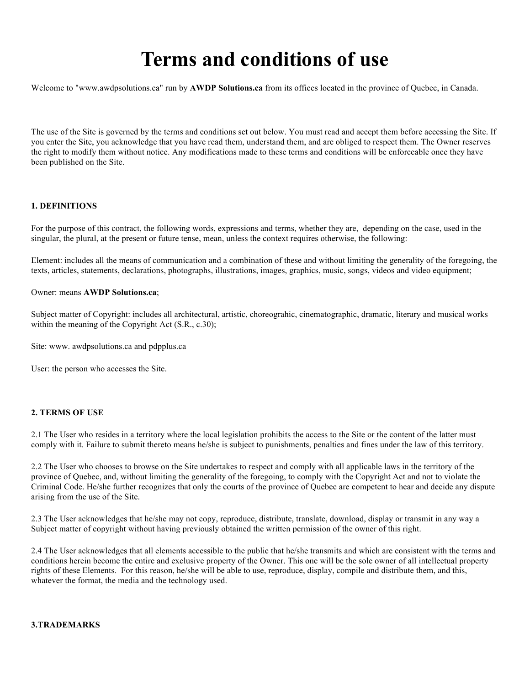# **Terms and conditions of use**

Welcome to "www.awdpsolutions.ca" run by **AWDP Solutions.ca** from its offices located in the province of Quebec, in Canada.

The use of the Site is governed by the terms and conditions set out below. You must read and accept them before accessing the Site. If you enter the Site, you acknowledge that you have read them, understand them, and are obliged to respect them. The Owner reserves the right to modify them without notice. Any modifications made to these terms and conditions will be enforceable once they have been published on the Site.

## **1. DEFINITIONS**

For the purpose of this contract, the following words, expressions and terms, whether they are, depending on the case, used in the singular, the plural, at the present or future tense, mean, unless the context requires otherwise, the following:

Element: includes all the means of communication and a combination of these and without limiting the generality of the foregoing, the texts, articles, statements, declarations, photographs, illustrations, images, graphics, music, songs, videos and video equipment;

#### Owner: means **AWDP Solutions.ca**;

Subject matter of Copyright: includes all architectural, artistic, choreograhic, cinematographic, dramatic, literary and musical works within the meaning of the Copyright Act (S.R., c.30);

Site: www. awdpsolutions.ca and pdpplus.ca

User: the person who accesses the Site.

#### **2. TERMS OF USE**

2.1 The User who resides in a territory where the local legislation prohibits the access to the Site or the content of the latter must comply with it. Failure to submit thereto means he/she is subject to punishments, penalties and fines under the law of this territory.

2.2 The User who chooses to browse on the Site undertakes to respect and comply with all applicable laws in the territory of the province of Quebec, and, without limiting the generality of the foregoing, to comply with the Copyright Act and not to violate the Criminal Code. He/she further recognizes that only the courts of the province of Quebec are competent to hear and decide any dispute arising from the use of the Site.

2.3 The User acknowledges that he/she may not copy, reproduce, distribute, translate, download, display or transmit in any way a Subject matter of copyright without having previously obtained the written permission of the owner of this right.

2.4 The User acknowledges that all elements accessible to the public that he/she transmits and which are consistent with the terms and conditions herein become the entire and exclusive property of the Owner. This one will be the sole owner of all intellectual property rights of these Elements. For this reason, he/she will be able to use, reproduce, display, compile and distribute them, and this, whatever the format, the media and the technology used.

## **3.TRADEMARKS**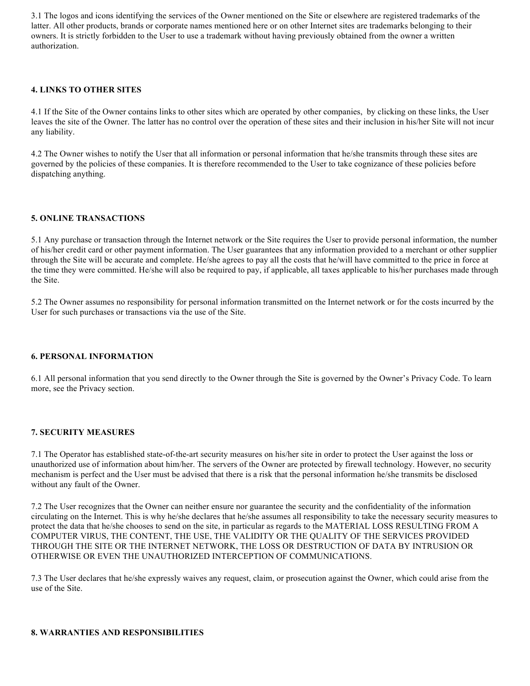3.1 The logos and icons identifying the services of the Owner mentioned on the Site or elsewhere are registered trademarks of the latter. All other products, brands or corporate names mentioned here or on other Internet sites are trademarks belonging to their owners. It is strictly forbidden to the User to use a trademark without having previously obtained from the owner a written authorization.

## **4. LINKS TO OTHER SITES**

4.1 If the Site of the Owner contains links to other sites which are operated by other companies, by clicking on these links, the User leaves the site of the Owner. The latter has no control over the operation of these sites and their inclusion in his/her Site will not incur any liability.

4.2 The Owner wishes to notify the User that all information or personal information that he/she transmits through these sites are governed by the policies of these companies. It is therefore recommended to the User to take cognizance of these policies before dispatching anything.

## **5. ONLINE TRANSACTIONS**

5.1 Any purchase or transaction through the Internet network or the Site requires the User to provide personal information, the number of his/her credit card or other payment information. The User guarantees that any information provided to a merchant or other supplier through the Site will be accurate and complete. He/she agrees to pay all the costs that he/will have committed to the price in force at the time they were committed. He/she will also be required to pay, if applicable, all taxes applicable to his/her purchases made through the Site.

5.2 The Owner assumes no responsibility for personal information transmitted on the Internet network or for the costs incurred by the User for such purchases or transactions via the use of the Site.

#### **6. PERSONAL INFORMATION**

6.1 All personal information that you send directly to the Owner through the Site is governed by the Owner's Privacy Code. To learn more, see the Privacy section.

#### **7. SECURITY MEASURES**

7.1 The Operator has established state-of-the-art security measures on his/her site in order to protect the User against the loss or unauthorized use of information about him/her. The servers of the Owner are protected by firewall technology. However, no security mechanism is perfect and the User must be advised that there is a risk that the personal information he/she transmits be disclosed without any fault of the Owner.

7.2 The User recognizes that the Owner can neither ensure nor guarantee the security and the confidentiality of the information circulating on the Internet. This is why he/she declares that he/she assumes all responsibility to take the necessary security measures to protect the data that he/she chooses to send on the site, in particular as regards to the MATERIAL LOSS RESULTING FROM A COMPUTER VIRUS, THE CONTENT, THE USE, THE VALIDITY OR THE QUALITY OF THE SERVICES PROVIDED THROUGH THE SITE OR THE INTERNET NETWORK, THE LOSS OR DESTRUCTION OF DATA BY INTRUSION OR OTHERWISE OR EVEN THE UNAUTHORIZED INTERCEPTION OF COMMUNICATIONS.

7.3 The User declares that he/she expressly waives any request, claim, or prosecution against the Owner, which could arise from the use of the Site.

#### **8. WARRANTIES AND RESPONSIBILITIES**